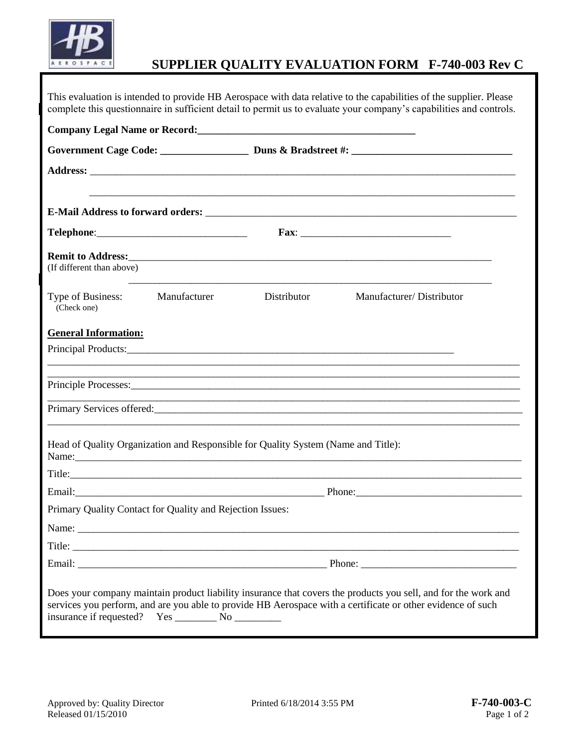

## **SUPPLIER QUALITY EVALUATION FORM F-740-003 Rev C**

|                                  |                                                           |                                                                                   | This evaluation is intended to provide HB Aerospace with data relative to the capabilities of the supplier. Please<br>complete this questionnaire in sufficient detail to permit us to evaluate your company's capabilities and controls. |  |
|----------------------------------|-----------------------------------------------------------|-----------------------------------------------------------------------------------|-------------------------------------------------------------------------------------------------------------------------------------------------------------------------------------------------------------------------------------------|--|
|                                  |                                                           |                                                                                   |                                                                                                                                                                                                                                           |  |
|                                  |                                                           | Government Cage Code: Duns & Bradstreet #:                                        |                                                                                                                                                                                                                                           |  |
|                                  |                                                           |                                                                                   |                                                                                                                                                                                                                                           |  |
|                                  |                                                           |                                                                                   |                                                                                                                                                                                                                                           |  |
|                                  |                                                           |                                                                                   |                                                                                                                                                                                                                                           |  |
| (If different than above)        |                                                           |                                                                                   |                                                                                                                                                                                                                                           |  |
| Type of Business:<br>(Check one) | Manufacturer                                              | Distributor                                                                       | Manufacturer/Distributor                                                                                                                                                                                                                  |  |
| <b>General Information:</b>      |                                                           |                                                                                   |                                                                                                                                                                                                                                           |  |
|                                  |                                                           |                                                                                   |                                                                                                                                                                                                                                           |  |
|                                  |                                                           |                                                                                   |                                                                                                                                                                                                                                           |  |
|                                  |                                                           |                                                                                   |                                                                                                                                                                                                                                           |  |
|                                  |                                                           |                                                                                   |                                                                                                                                                                                                                                           |  |
|                                  |                                                           | Head of Quality Organization and Responsible for Quality System (Name and Title): | Name: Name: Name: Name: Name: Name: Name: Name: Name: Name: Name: Name: Name: Name: Name: Name: Name: Name: Name: Name: Name: Name: Name: Name: Name: Name: Name: Name: Name: Name: Name: Name: Name: Name: Name: Name: Name:             |  |
|                                  |                                                           |                                                                                   |                                                                                                                                                                                                                                           |  |
|                                  |                                                           |                                                                                   |                                                                                                                                                                                                                                           |  |
|                                  | Primary Quality Contact for Quality and Rejection Issues: |                                                                                   |                                                                                                                                                                                                                                           |  |
|                                  |                                                           |                                                                                   |                                                                                                                                                                                                                                           |  |
|                                  |                                                           |                                                                                   |                                                                                                                                                                                                                                           |  |
|                                  |                                                           |                                                                                   |                                                                                                                                                                                                                                           |  |
|                                  |                                                           |                                                                                   | Does your company maintain product liability insurance that covers the products you sell, and for the work and<br>services you perform, and are you able to provide HB Aerospace with a certificate or other evidence of such             |  |